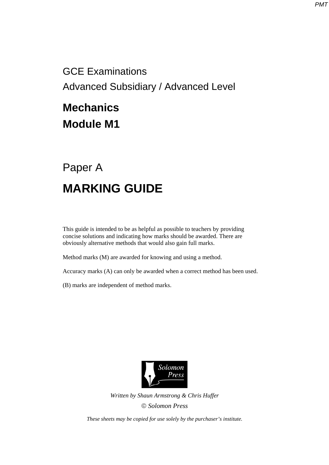GCE Examinations Advanced Subsidiary / Advanced Level

## **Mechanics Module M1**

## Paper A **MARKING GUIDE**

This guide is intended to be as helpful as possible to teachers by providing concise solutions and indicating how marks should be awarded. There are obviously alternative methods that would also gain full marks.

Method marks (M) are awarded for knowing and using a method.

Accuracy marks (A) can only be awarded when a correct method has been used.

(B) marks are independent of method marks.



*Written by Shaun Armstrong & Chris Huffer Solomon Press* 

*These sheets may be copied for use solely by the purchaser's institute.*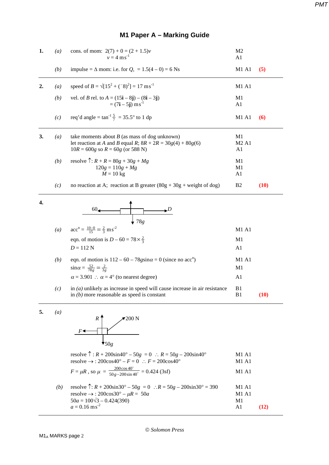|  |  |  | M1 Paper A – Marking Guide |  |
|--|--|--|----------------------------|--|
|--|--|--|----------------------------|--|

| 1. | (a)              | cons. of mom: $2(7) + 0 = (2 + 1.5)v$<br>$v = 4$ ms <sup>-1</sup>                                                                                       | M <sub>2</sub><br>A <sub>1</sub>          |      |  |
|----|------------------|---------------------------------------------------------------------------------------------------------------------------------------------------------|-------------------------------------------|------|--|
|    | (b)              | impulse = $\Delta$ mom: i.e. for $Q$ , = 1.5(4 – 0) = 6 Ns                                                                                              | M1 A1                                     | (5)  |  |
| 2. | (a)              | speed of $B = \sqrt{15^2 + (-8)^2} = 17 \text{ ms}^{-1}$                                                                                                | M1 A1                                     |      |  |
|    | (b)              | vel. of <i>B</i> rel. to $A = (15\mathbf{i} - 8\mathbf{j}) - (8\mathbf{i} - 3\mathbf{j})$<br>= $(7\mathbf{i} - 5\mathbf{j}) \text{ ms}^{-1}$            | M1<br>A1                                  |      |  |
|    | (c)              | req'd angle = $\tan^{-1} \frac{5}{7}$ = 35.5° to 1 dp                                                                                                   | M1 A1                                     | (6)  |  |
| 3. | $\left(a\right)$ | take moments about $B$ (as mass of dog unknown)<br>let reaction at A and B equal R; $8R + 2R = 30g(4) + 80g(6)$<br>$10R = 600g$ so $R = 60g$ (or 588 N) | M1<br>M <sub>2</sub> A <sub>1</sub><br>A1 |      |  |
|    | (b)              | resolve $\hat{T}$ : $R + R = 80g + 30g + Mg$<br>$120g = 110g + Mg$<br>$M = 10$ kg                                                                       | M1<br>M1<br>A1                            |      |  |
|    | (c)              | no reaction at A; reaction at B greater $(80g + 30g + weight of dog)$                                                                                   | B <sub>2</sub>                            | (10) |  |
| 4. |                  | 60 <sub>4</sub><br>⊾ມ<br>$\downarrow$ 78g                                                                                                               |                                           |      |  |
|    | (a)              | $acc^{n} = \frac{10-0}{15} = \frac{2}{3} \text{ m s}^{-2}$                                                                                              | <b>M1 A1</b>                              |      |  |
|    |                  | eqn. of motion is $D - 60 = 78 \times \frac{2}{3}$<br>$D = 112 N$                                                                                       | M1<br>A1                                  |      |  |
|    | (b)              | eqn. of motion is $112 - 60 - 78$ gsin $\alpha = 0$ (since no acc <sup>n</sup> )<br>$\sin \alpha = \frac{52}{78g} = \frac{2}{3g}$                       | M1 A1<br>M1                               |      |  |
|    |                  | $\alpha$ = 3.901 : $\alpha$ = 4° (to nearest degree)                                                                                                    | A1                                        |      |  |
|    |                  | $-1.11$ $-1.1$                                                                                                                                          |                                           |      |  |

- *(c)* in *(a)* unlikely as increase in speed will cause increase in air resistance B1  $\text{in } (b)$  more reasonable as speed is constant B1 (10)
- **5.** *(a)*



resolve  $\hat{T}: R + 200\sin 40^{\circ} - 50g = 0$  ∴  $R = 50g - 200\sin 40^{\circ}$  M1 A1 resolve  $\rightarrow$  : 200cos40° – *F* = 0 ∴ *F* = 200cos40° M1 A1  $F = \mu R$ , so  $\mu = \frac{200 \cos 40^{\circ}}{50 g - 200 \sin 40^{\circ}}$  $50g - 200\sin 40$  $\frac{200\cos 40^{\circ}}{g-200\sin 40^{\circ}} = 0.424$  (3sf) M1 A1

*(b)* resolve  $\hat{T}$ :  $R + 200\sin 30^\circ - 50g = 0$  ∴  $R = 50g - 200\sin 30^\circ = 390$  M1 A1  $resolve \rightarrow : 200cos30^{\circ} - \mu R = 50a$  M1 A1  $50a = 100\sqrt{3} - 0.424(390)$  M1  $a = 0.16$  ms<sup>-2</sup> -2 A1 **(12)**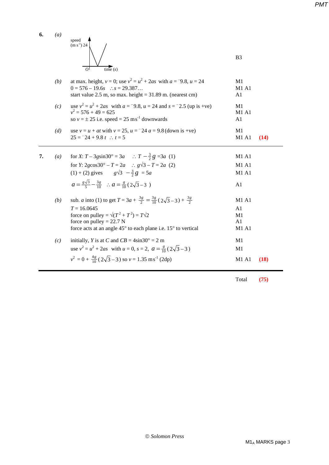| 6. | $\left(a\right)$ | speed<br>$\rm(m~s^{-1})$ 24<br>time(s)<br>$\Omega$                                                                                                                                                                                                              | B <sub>3</sub>                      |
|----|------------------|-----------------------------------------------------------------------------------------------------------------------------------------------------------------------------------------------------------------------------------------------------------------|-------------------------------------|
|    | (b)              | at max. height, $v = 0$ ; use $v^2 = u^2 + 2as$ with $a = 9.8$ , $u = 24$<br>$0 = 576 - 19.6s$ : $s = 29.387$<br>start value 2.5 m, so max. height = $31.89$ m. (nearest cm)                                                                                    | M1<br>M1A1<br>A1                    |
|    | (c)              | use $v^2 = u^2 + 2as$ with $a = -9.8$ , $u = 24$ and $s = -2.5$ (up is +ve)<br>$v^2 = 576 + 49 = 625$<br>so $v = \pm 25$ i.e. speed = 25 ms <sup>-1</sup> downwards                                                                                             | M1<br>M1A1<br>A1                    |
|    | (d)              | use $v = u + at$ with $v = 25$ , $u = -24$ $a = 9.8$ (down is +ve)<br>$25 = 24 + 9.8 t$ : $t = 5$                                                                                                                                                               | M1<br><b>M1 A1</b><br>(14)          |
| 7. | $\left(a\right)$ | for X: $T - 3g\sin 30^\circ = 3a$ : $T - \frac{3}{2}g = 3a$ (1)<br>for Y: 2gcos30° – $T = 2a$ : $g\sqrt{3} - T = 2a$ (2)<br>$(1) + (2)$ gives $g\sqrt{3} - \frac{3}{2}g = 5a$<br>$a = \frac{g\sqrt{3}}{5} - \frac{3g}{10}$ : $a = \frac{g}{10} (2\sqrt{3} - 3)$ | M1 A1<br><b>M1 A1</b><br>M1A1<br>A1 |
|    | (b)              | sub. <i>a</i> into (1) to get $T = 3a + \frac{3g}{2} = \frac{3g}{10} (2\sqrt{3} - 3) + \frac{3g}{2}$<br>$T = 16.0645$                                                                                                                                           | <b>M1 A1</b><br>A1                  |

force on pulley =  $\sqrt{(T^2 + T^2)} = T\sqrt{2}$  M1 force on pulley =  $22.7 \text{ N}$  A1 force acts at an angle 45° to each plane i.e. 15° to vertical M1 A1

 $v^2 = 0 + \frac{4g}{10} (2\sqrt{3} - 3)$  so  $v = 1.35$  ms<sup>-1</sup> (2dp) M1 A1 (18)

Total **(75)** 

*(c)* initially, *Y* is at *C* and  $CB = 4\sin 30^\circ = 2 \text{ m}$  M1 use  $v^2 = u^2 + 2as$  with  $u = 0$ ,  $s = 2$ ,  $a = \frac{g}{10}(2\sqrt{3} - 3)$  M1

*PMT*